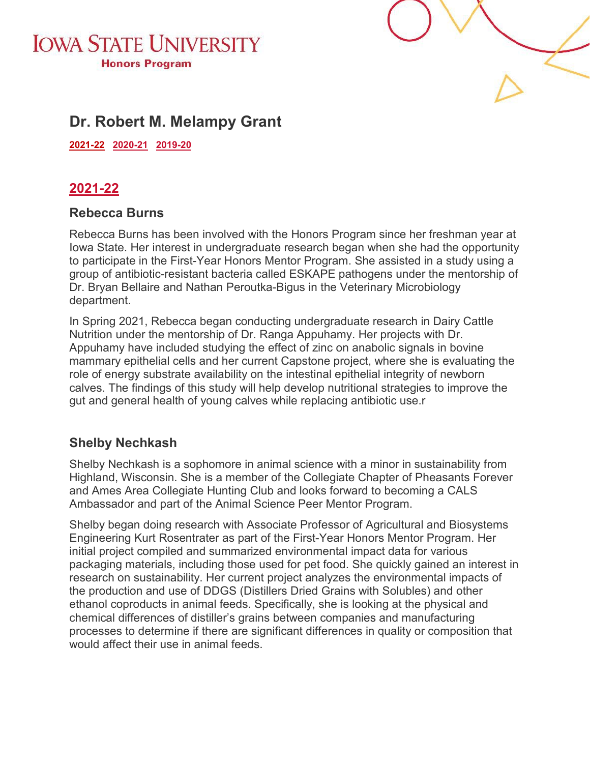



# **Dr. Robert M. Melampy Grant**

<span id="page-0-0"></span>**[2021-22 2020-21](#page-0-0) [2019-20](#page-1-0)** 

### **2021-22**

### **Rebecca Burns**

Rebecca Burns has been involved with the Honors Program since her freshman year at Iowa State. Her interest in undergraduate research began when she had the opportunity to participate in the First-Year Honors Mentor Program. She assisted in a study using a group of antibiotic-resistant bacteria called ESKAPE pathogens under the mentorship of Dr. Bryan Bellaire and Nathan Peroutka-Bigus in the Veterinary Microbiology department.

In Spring 2021, Rebecca began conducting undergraduate research in Dairy Cattle Nutrition under the mentorship of Dr. Ranga Appuhamy. Her projects with Dr. Appuhamy have included studying the effect of zinc on anabolic signals in bovine mammary epithelial cells and her current Capstone project, where she is evaluating the role of energy substrate availability on the intestinal epithelial integrity of newborn calves. The findings of this study will help develop nutritional strategies to improve the gut and general health of young calves while replacing antibiotic use.r

### **Shelby Nechkash**

Shelby Nechkash is a sophomore in animal science with a minor in sustainability from Highland, Wisconsin. She is a member of the Collegiate Chapter of Pheasants Forever and Ames Area Collegiate Hunting Club and looks forward to becoming a CALS Ambassador and part of the Animal Science Peer Mentor Program.

Shelby began doing research with Associate Professor of Agricultural and Biosystems Engineering Kurt Rosentrater as part of the First-Year Honors Mentor Program. Her initial project compiled and summarized environmental impact data for various packaging materials, including those used for pet food. She quickly gained an interest in research on sustainability. Her current project analyzes the environmental impacts of the production and use of DDGS (Distillers Dried Grains with Solubles) and other ethanol coproducts in animal feeds. Specifically, she is looking at the physical and chemical differences of distiller's grains between companies and manufacturing processes to determine if there are significant differences in quality or composition that would affect their use in animal feeds.